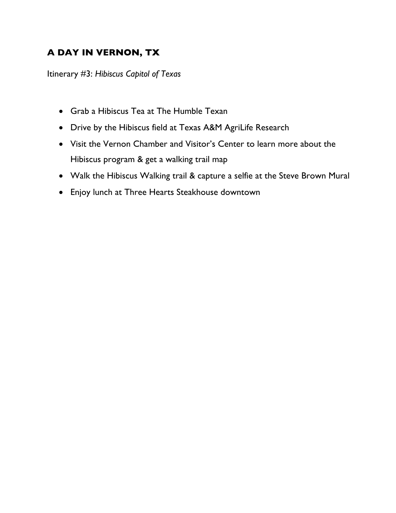## **A DAY IN VERNON, TX**

Itinerary #3: *Hibiscus Capitol of Texas*

- Grab a Hibiscus Tea at The Humble Texan
- Drive by the Hibiscus field at Texas A&M AgriLife Research
- Visit the Vernon Chamber and Visitor's Center to learn more about the Hibiscus program & get a walking trail map
- Walk the Hibiscus Walking trail & capture a selfie at the Steve Brown Mural
- Enjoy lunch at Three Hearts Steakhouse downtown